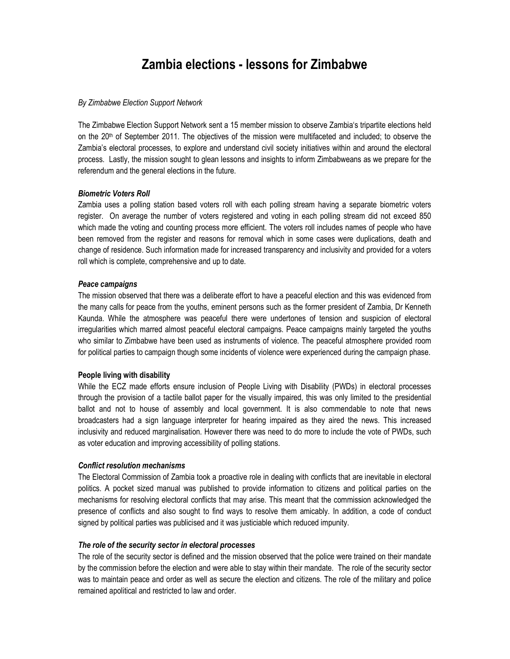# Zambia elections - lessons for Zimbabwe

## By Zimbabwe Election Support Network

The Zimbabwe Election Support Network sent a 15 member mission to observe Zambia's tripartite elections held on the 20<sup>th</sup> of September 2011. The objectives of the mission were multifaceted and included; to observe the Zambia's electoral processes, to explore and understand civil society initiatives within and around the electoral process. Lastly, the mission sought to glean lessons and insights to inform Zimbabweans as we prepare for the referendum and the general elections in the future.

#### Biometric Voters Roll

Zambia uses a polling station based voters roll with each polling stream having a separate biometric voters register. On average the number of voters registered and voting in each polling stream did not exceed 850 which made the voting and counting process more efficient. The voters roll includes names of people who have been removed from the register and reasons for removal which in some cases were duplications, death and change of residence. Such information made for increased transparency and inclusivity and provided for a voters roll which is complete, comprehensive and up to date.

## Peace campaigns

The mission observed that there was a deliberate effort to have a peaceful election and this was evidenced from the many calls for peace from the youths, eminent persons such as the former president of Zambia, Dr Kenneth Kaunda. While the atmosphere was peaceful there were undertones of tension and suspicion of electoral irregularities which marred almost peaceful electoral campaigns. Peace campaigns mainly targeted the youths who similar to Zimbabwe have been used as instruments of violence. The peaceful atmosphere provided room for political parties to campaign though some incidents of violence were experienced during the campaign phase.

## People living with disability

While the ECZ made efforts ensure inclusion of People Living with Disability (PWDs) in electoral processes through the provision of a tactile ballot paper for the visually impaired, this was only limited to the presidential ballot and not to house of assembly and local government. It is also commendable to note that news broadcasters had a sign language interpreter for hearing impaired as they aired the news. This increased inclusivity and reduced marginalisation. However there was need to do more to include the vote of PWDs, such as voter education and improving accessibility of polling stations.

#### Conflict resolution mechanisms

The Electoral Commission of Zambia took a proactive role in dealing with conflicts that are inevitable in electoral politics. A pocket sized manual was published to provide information to citizens and political parties on the mechanisms for resolving electoral conflicts that may arise. This meant that the commission acknowledged the presence of conflicts and also sought to find ways to resolve them amicably. In addition, a code of conduct signed by political parties was publicised and it was justiciable which reduced impunity.

#### The role of the security sector in electoral processes

The role of the security sector is defined and the mission observed that the police were trained on their mandate by the commission before the election and were able to stay within their mandate. The role of the security sector was to maintain peace and order as well as secure the election and citizens. The role of the military and police remained apolitical and restricted to law and order.